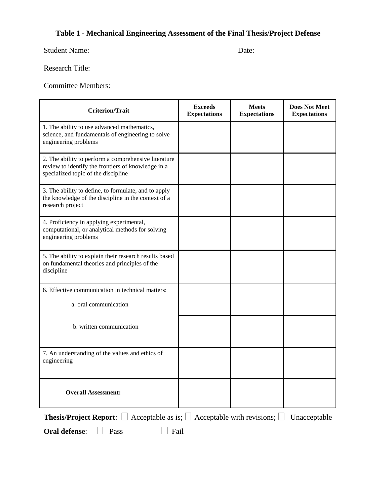## **Table 1 - Mechanical Engineering Assessment of the Final Thesis/Project Defense**

Student Name: Date:

Research Title:

Committee Members:

| <b>Criterion/Trait</b>                                                                                                                            | <b>Exceeds</b><br><b>Expectations</b> | <b>Meets</b><br><b>Expectations</b> | <b>Does Not Meet</b><br><b>Expectations</b> |  |  |
|---------------------------------------------------------------------------------------------------------------------------------------------------|---------------------------------------|-------------------------------------|---------------------------------------------|--|--|
| 1. The ability to use advanced mathematics,<br>science, and fundamentals of engineering to solve<br>engineering problems                          |                                       |                                     |                                             |  |  |
| 2. The ability to perform a comprehensive literature<br>review to identify the frontiers of knowledge in a<br>specialized topic of the discipline |                                       |                                     |                                             |  |  |
| 3. The ability to define, to formulate, and to apply<br>the knowledge of the discipline in the context of a<br>research project                   |                                       |                                     |                                             |  |  |
| 4. Proficiency in applying experimental,<br>computational, or analytical methods for solving<br>engineering problems                              |                                       |                                     |                                             |  |  |
| 5. The ability to explain their research results based<br>on fundamental theories and principles of the<br>discipline                             |                                       |                                     |                                             |  |  |
| 6. Effective communication in technical matters:                                                                                                  |                                       |                                     |                                             |  |  |
| a. oral communication                                                                                                                             |                                       |                                     |                                             |  |  |
| b. written communication                                                                                                                          |                                       |                                     |                                             |  |  |
| 7. An understanding of the values and ethics of<br>engineering                                                                                    |                                       |                                     |                                             |  |  |
| <b>Overall Assessment:</b>                                                                                                                        |                                       |                                     |                                             |  |  |
| Acceptable as is; $\Box$ Acceptable with revisions; $\Box$<br><b>Thesis/Project Report:</b> $\Box$<br>Unacceptable                                |                                       |                                     |                                             |  |  |

**Oral defense:**  $\Box$  Pass  $\Box$  Fail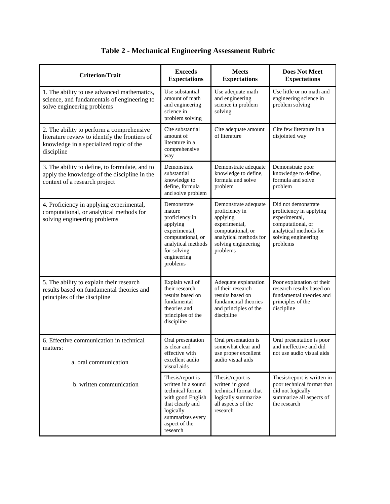| <b>Criterion/Trait</b>                                                                                                                               | <b>Exceeds</b><br><b>Expectations</b>                                                                                                                             | <b>Meets</b><br><b>Expectations</b>                                                                                                                   | <b>Does Not Meet</b><br><b>Expectations</b>                                                                                                       |
|------------------------------------------------------------------------------------------------------------------------------------------------------|-------------------------------------------------------------------------------------------------------------------------------------------------------------------|-------------------------------------------------------------------------------------------------------------------------------------------------------|---------------------------------------------------------------------------------------------------------------------------------------------------|
| 1. The ability to use advanced mathematics,<br>science, and fundamentals of engineering to<br>solve engineering problems                             | Use substantial<br>amount of math<br>and engineering<br>science in<br>problem solving                                                                             | Use adequate math<br>and engineering<br>science in problem<br>solving                                                                                 | Use little or no math and<br>engineering science in<br>problem solving                                                                            |
| 2. The ability to perform a comprehensive<br>literature review to identify the frontiers of<br>knowledge in a specialized topic of the<br>discipline | Cite substantial<br>amount of<br>literature in a<br>comprehensive<br>way                                                                                          | Cite adequate amount<br>of literature                                                                                                                 | Cite few literature in a<br>disjointed way                                                                                                        |
| 3. The ability to define, to formulate, and to<br>apply the knowledge of the discipline in the<br>context of a research project                      | Demonstrate<br>substantial<br>knowledge to<br>define, formula<br>and solve problem                                                                                | Demonstrate adequate<br>knowledge to define,<br>formula and solve<br>problem                                                                          | Demonstrate poor<br>knowledge to define,<br>formula and solve<br>problem                                                                          |
| 4. Proficiency in applying experimental,<br>computational, or analytical methods for<br>solving engineering problems                                 | Demonstrate<br>mature<br>proficiency in<br>applying<br>experimental,<br>computational, or<br>analytical methods<br>for solving<br>engineering<br>problems         | Demonstrate adequate<br>proficiency in<br>applying<br>experimental,<br>computational, or<br>analytical methods for<br>solving engineering<br>problems | Did not demonstrate<br>proficiency in applying<br>experimental,<br>computational, or<br>analytical methods for<br>solving engineering<br>problems |
| 5. The ability to explain their research<br>results based on fundamental theories and<br>principles of the discipline                                | Explain well of<br>their research<br>results based on<br>fundamental<br>theories and<br>principles of the<br>discipline                                           | Adequate explanation<br>of their research<br>results based on<br>fundamental theories<br>and principles of the<br>discipline                          | Poor explanation of their<br>research results based on<br>fundamental theories and<br>principles of the<br>discipline                             |
| 6. Effective communication in technical<br>matters:<br>a. oral communication                                                                         | Oral presentation<br>is clear and<br>effective with<br>excellent audio<br>visual aids                                                                             | Oral presentation is<br>somewhat clear and<br>use proper excellent<br>audio visual aids                                                               | Oral presentation is poor<br>and ineffective and did<br>not use audio visual aids                                                                 |
| b. written communication                                                                                                                             | Thesis/report is<br>written in a sound<br>technical format<br>with good English<br>that clearly and<br>logically<br>summarizes every<br>aspect of the<br>research | Thesis/report is<br>written in good<br>technical format that<br>logically summarize<br>all aspects of the<br>research                                 | Thesis/report is written in<br>poor technical format that<br>did not logically<br>summarize all aspects of<br>the research                        |

## **Table 2 - Mechanical Engineering Assessment Rubric**